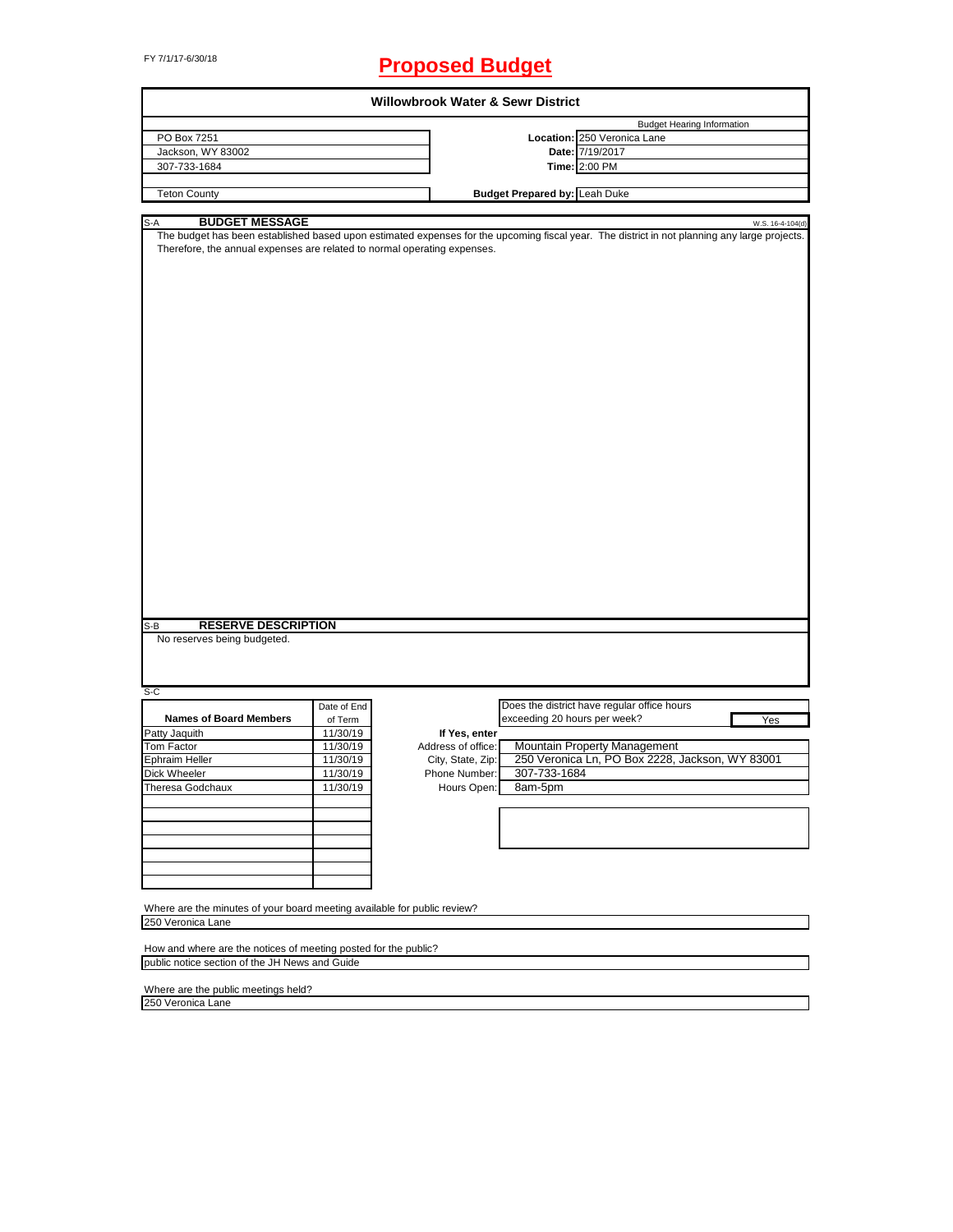# FY 7/1/17-6/30/18 **Proposed Budget**

| <b>Willowbrook Water &amp; Sewr District</b>                                                                                                                                                                                                                                                 |             |                    |                                      |                                                 |                  |
|----------------------------------------------------------------------------------------------------------------------------------------------------------------------------------------------------------------------------------------------------------------------------------------------|-------------|--------------------|--------------------------------------|-------------------------------------------------|------------------|
|                                                                                                                                                                                                                                                                                              |             |                    |                                      | <b>Budget Hearing Information</b>               |                  |
| PO Box 7251                                                                                                                                                                                                                                                                                  |             |                    |                                      | Location: 250 Veronica Lane                     |                  |
| Jackson, WY 83002                                                                                                                                                                                                                                                                            |             |                    |                                      | Date: 7/19/2017                                 |                  |
| 307-733-1684                                                                                                                                                                                                                                                                                 |             |                    |                                      | Time: 2:00 PM                                   |                  |
|                                                                                                                                                                                                                                                                                              |             |                    |                                      |                                                 |                  |
| <b>Teton County</b>                                                                                                                                                                                                                                                                          |             |                    | <b>Budget Prepared by: Leah Duke</b> |                                                 |                  |
|                                                                                                                                                                                                                                                                                              |             |                    |                                      |                                                 |                  |
| S-A<br><b>BUDGET MESSAGE</b>                                                                                                                                                                                                                                                                 |             |                    |                                      |                                                 | W.S. 16-4-104(d) |
| The budget has been established based upon estimated expenses for the upcoming fiscal year. The district in not planning any large projects.<br>Therefore, the annual expenses are related to normal operating expenses.<br><b>RESERVE DESCRIPTION</b><br>S-B<br>No reserves being budgeted. |             |                    |                                      |                                                 |                  |
|                                                                                                                                                                                                                                                                                              |             |                    |                                      |                                                 |                  |
| S-C                                                                                                                                                                                                                                                                                          |             |                    |                                      |                                                 |                  |
|                                                                                                                                                                                                                                                                                              | Date of End |                    |                                      | Does the district have regular office hours     |                  |
| <b>Names of Board Members</b>                                                                                                                                                                                                                                                                | of Term     |                    | exceeding 20 hours per week?         |                                                 | Yes              |
| Patty Jaquith                                                                                                                                                                                                                                                                                | 11/30/19    | If Yes, enter      |                                      |                                                 |                  |
| Tom Factor                                                                                                                                                                                                                                                                                   | 11/30/19    | Address of office: |                                      | Mountain Property Management                    |                  |
| Ephraim Heller                                                                                                                                                                                                                                                                               | 11/30/19    | City, State, Zip:  |                                      | 250 Veronica Ln, PO Box 2228, Jackson, WY 83001 |                  |
| Dick Wheeler                                                                                                                                                                                                                                                                                 | 11/30/19    | Phone Number:      | 307-733-1684                         |                                                 |                  |
| Theresa Godchaux                                                                                                                                                                                                                                                                             | 11/30/19    | Hours Open:        | 8am-5pm                              |                                                 |                  |
|                                                                                                                                                                                                                                                                                              |             |                    |                                      |                                                 |                  |
|                                                                                                                                                                                                                                                                                              |             |                    |                                      |                                                 |                  |
|                                                                                                                                                                                                                                                                                              |             |                    |                                      |                                                 |                  |
|                                                                                                                                                                                                                                                                                              |             |                    |                                      |                                                 |                  |
|                                                                                                                                                                                                                                                                                              |             |                    |                                      |                                                 |                  |
|                                                                                                                                                                                                                                                                                              |             |                    |                                      |                                                 |                  |
| Where are the minutes of your board meeting available for public review?<br>250 Veronica Lane                                                                                                                                                                                                |             |                    |                                      |                                                 |                  |
| How and where are the notices of meeting posted for the public?                                                                                                                                                                                                                              |             |                    |                                      |                                                 |                  |
| public notice section of the JH News and Guide                                                                                                                                                                                                                                               |             |                    |                                      |                                                 |                  |
|                                                                                                                                                                                                                                                                                              |             |                    |                                      |                                                 |                  |
| Where are the public meetings held?                                                                                                                                                                                                                                                          |             |                    |                                      |                                                 |                  |
| 250 Veronica Lane                                                                                                                                                                                                                                                                            |             |                    |                                      |                                                 |                  |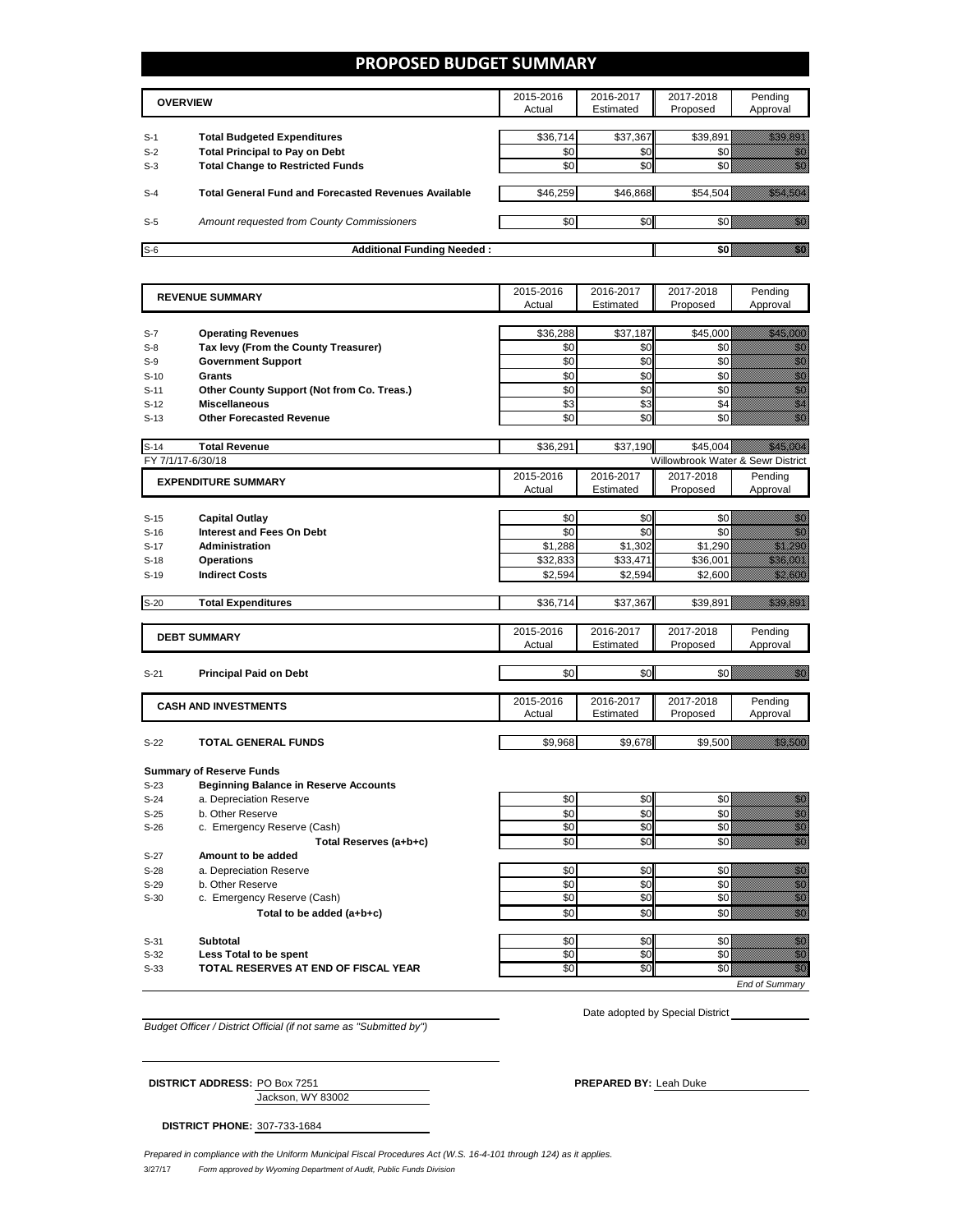## **PROPOSED BUDGET SUMMARY**

| <b>OVERVIEW</b> |                                                             | 2015-2016<br>Actual | 2016-2017<br>Estimated | 2017-2018<br>Proposed | Pending<br>Approval |
|-----------------|-------------------------------------------------------------|---------------------|------------------------|-----------------------|---------------------|
| $S-1$           | <b>Total Budgeted Expenditures</b>                          | \$36.714            | \$37,367               | \$39,891              |                     |
| $S-2$           | <b>Total Principal to Pay on Debt</b>                       | \$0                 | \$0                    |                       |                     |
| $S-3$           | <b>Total Change to Restricted Funds</b>                     | \$0                 | \$0                    |                       |                     |
|                 |                                                             |                     |                        |                       |                     |
| $S-4$           | <b>Total General Fund and Forecasted Revenues Available</b> | \$46.259            | \$46.868               | \$54.504              |                     |
|                 |                                                             |                     |                        |                       |                     |
| $S-5$           | Amount requested from County Commissioners                  | \$0                 | \$0                    |                       |                     |
| $S-6$           | <b>Additional Funding Needed:</b>                           |                     |                        |                       |                     |

| <b>REVENUE SUMMARY</b> |                                              | 2015-2016<br>Actual | 2016-2017      | 2017-2018                         | Pending                                                                                                                                                                                                                              |
|------------------------|----------------------------------------------|---------------------|----------------|-----------------------------------|--------------------------------------------------------------------------------------------------------------------------------------------------------------------------------------------------------------------------------------|
|                        |                                              |                     | Estimated      | Proposed                          | Approval                                                                                                                                                                                                                             |
|                        |                                              |                     |                |                                   |                                                                                                                                                                                                                                      |
| $S-7$                  | <b>Operating Revenues</b>                    | \$36,288            | \$37,187       | \$45,000                          | <u>Mariji i</u>                                                                                                                                                                                                                      |
| $S-8$                  | Tax levy (From the County Treasurer)         | \$0                 | \$0            | \$0                               | enne<br>Militä                                                                                                                                                                                                                       |
| $S-9$                  | <b>Government Support</b>                    | \$0                 | \$0            | \$0                               | en en de la familie de la familie de la familie de la familie de la familie de la familie de la familie de la<br>Constitution de la familie de la familie de la familie de la familie de la familie de la familie de la familie      |
| $S-10$                 | <b>Grants</b>                                | \$0                 | \$0            | \$0                               | enne<br>Callin                                                                                                                                                                                                                       |
| $S-11$                 | Other County Support (Not from Co. Treas.)   | \$0                 | \$0            | \$0                               | en de filosofon de filosofon de filosofon de filosofon de filosofon de filosofon de filosofon de filosofon de<br>En la filosofon de filosofon de filosofon de filosofon de filosofon de filosofon de filosofon de filosofon de       |
| $S-12$                 | <b>Miscellaneous</b>                         | \$3                 | \$3            | \$4                               | en de la familie de la familie de la familie de la familie de la familie de la familie de la familie de la fam<br>Estat de la familie de la familie de la familie de la familie de la familie de la familie de la familie de la      |
| $S-13$                 | <b>Other Forecasted Revenue</b>              | \$0                 | \$0            | \$0                               | en<br>Maria                                                                                                                                                                                                                          |
|                        |                                              |                     |                |                                   |                                                                                                                                                                                                                                      |
| $S-14$                 | <b>Total Revenue</b>                         | \$36,291            | \$37,190       | \$45,004                          | <u> The Control of the Control of the Control of the Control of the Control of the Control of the Control of the </u>                                                                                                                |
| FY 7/1/17-6/30/18      |                                              |                     |                | Willowbrook Water & Sewr District |                                                                                                                                                                                                                                      |
|                        | <b>EXPENDITURE SUMMARY</b>                   | 2015-2016           | 2016-2017      | 2017-2018                         | Pending                                                                                                                                                                                                                              |
|                        |                                              | Actual              | Estimated      | Proposed                          | Approval                                                                                                                                                                                                                             |
|                        |                                              |                     |                |                                   |                                                                                                                                                                                                                                      |
| $S-15$                 | <b>Capital Outlay</b>                        | \$0                 | \$0            | \$0                               | elli S                                                                                                                                                                                                                               |
| $S-16$                 | <b>Interest and Fees On Debt</b>             | \$0                 | \$0            | \$0                               | en de la filosofia<br>Altres de la filòlogía                                                                                                                                                                                         |
| $S-17$                 | <b>Administration</b>                        | \$1,288             | \$1,302        | \$1,290                           | <u>Mille British</u>                                                                                                                                                                                                                 |
| $S-18$                 | <b>Operations</b>                            | \$32,833            | \$33,471       | \$36,001                          | <u>stalian p</u>                                                                                                                                                                                                                     |
| $S-19$                 | <b>Indirect Costs</b>                        | \$2.594             | \$2,594        | \$2,600                           | <u>Milliann ann an 197</u>                                                                                                                                                                                                           |
|                        |                                              |                     |                |                                   |                                                                                                                                                                                                                                      |
| $S-20$                 | <b>Total Expenditures</b>                    | \$36,714            | \$37,367       | \$39,891                          | <u>i ka</u>                                                                                                                                                                                                                          |
|                        |                                              |                     |                |                                   |                                                                                                                                                                                                                                      |
|                        | <b>DEBT SUMMARY</b>                          | 2015-2016           | 2016-2017      | 2017-2018                         | Pending                                                                                                                                                                                                                              |
|                        |                                              | Actual              | Estimated      | Proposed                          | Approval                                                                                                                                                                                                                             |
|                        |                                              |                     |                |                                   |                                                                                                                                                                                                                                      |
| $S-21$                 | <b>Principal Paid on Debt</b>                | \$0                 | \$0            | \$0                               | e de la concellativa de la concellativa de la concellativa de la concellativa de la concellativa de la concell<br>De la concellativa de la concellativa de la concellativa de la concellativa de la concellativa de la concellat     |
|                        |                                              |                     |                |                                   |                                                                                                                                                                                                                                      |
|                        | <b>CASH AND INVESTMENTS</b>                  | 2015-2016           | 2016-2017      | 2017-2018                         | Pending                                                                                                                                                                                                                              |
|                        |                                              | Actual              | Estimated      | Proposed                          | Approval                                                                                                                                                                                                                             |
|                        |                                              |                     |                |                                   |                                                                                                                                                                                                                                      |
| $S-22$                 | <b>TOTAL GENERAL FUNDS</b>                   | \$9,968             | \$9,678        | \$9,500                           | <u>till andre s</u>                                                                                                                                                                                                                  |
|                        |                                              |                     |                |                                   |                                                                                                                                                                                                                                      |
|                        | <b>Summary of Reserve Funds</b>              |                     |                |                                   |                                                                                                                                                                                                                                      |
| $S-23$                 | <b>Beginning Balance in Reserve Accounts</b> |                     |                |                                   |                                                                                                                                                                                                                                      |
| $S-24$                 | a. Depreciation Reserve                      | \$0                 | \$0<br>\$0     | \$0                               | en 1999.<br>Sido                                                                                                                                                                                                                     |
| $S-25$                 | b. Other Reserve                             | \$0                 |                | \$0                               | e de la composición de la composición de la composición de la composición de la composición de la composición<br>Composición de la composición de la composición de la composición de la composición de la composición de la co      |
| $S-26$                 | c. Emergency Reserve (Cash)                  | \$0                 | S <sub>0</sub> | \$0                               |                                                                                                                                                                                                                                      |
|                        | Total Reserves (a+b+c)                       | \$0                 | \$0            | \$0                               | en de la f                                                                                                                                                                                                                           |
| $S-27$                 | Amount to be added                           |                     |                |                                   |                                                                                                                                                                                                                                      |
| $S-28$                 | a. Depreciation Reserve                      | \$0                 | \$0            | \$0                               | e de la composición de la composición de la composición de la composición de la composición de la composición<br>Campo de la composición de la composición de la composición de la composición de la composición de la composic<br>C |
| $S-29$                 | b. Other Reserve                             | \$0                 | \$0            | \$0                               |                                                                                                                                                                                                                                      |
| $S-30$                 | c. Emergency Reserve (Cash)                  | \$0                 | \$0            | \$0                               |                                                                                                                                                                                                                                      |
|                        | Total to be added (a+b+c)                    | \$0                 | \$0            | \$0                               | en de la familie de la familie de la familie de la familie de la familie de la familie de la familie de la fa<br>Constitution de la familie de la familie de la familie de la familie de la familie de la familie de la familie      |
|                        |                                              |                     |                |                                   |                                                                                                                                                                                                                                      |
| $S-31$                 | <b>Subtotal</b>                              | \$0                 | \$0            | \$0                               | en 1999.<br>Sido                                                                                                                                                                                                                     |
| $S-32$                 | Less Total to be spent                       | \$0                 | \$0            | \$0                               | en de la familie de la familie de la familie de la familie de la familie de la familie de la familie de la fam<br>Constituit de la familie de la familie de la familie de la familie de la familie de la familie de la familie d     |
| $S-33$                 | <b>TOTAL RESERVES AT END OF FISCAL YEAR</b>  | \$0                 | \$0            | $\overline{50}$                   | e e de la concellativa de la concellativa de la concellativa de la concellativa de la concellativa de la conce<br>Concellativa de la concellativa de la concellativa de la concellativa de la concellativa de la concellativa de     |
|                        |                                              |                     |                |                                   | <b>End of Summarv</b>                                                                                                                                                                                                                |

*Budget Officer / District Official (if not same as "Submitted by")*

Date adopted by Special District \_\_\_\_\_\_\_\_\_\_\_\_\_

Jackson, WY 83002 **DISTRICT ADDRESS:** PO Box 7251 **PREPARED BY:** Leah Duke

**DISTRICT PHONE:** 307-733-1684

3/27/17 *Form approved by Wyoming Department of Audit, Public Funds Division Prepared in compliance with the Uniform Municipal Fiscal Procedures Act (W.S. 16-4-101 through 124) as it applies.*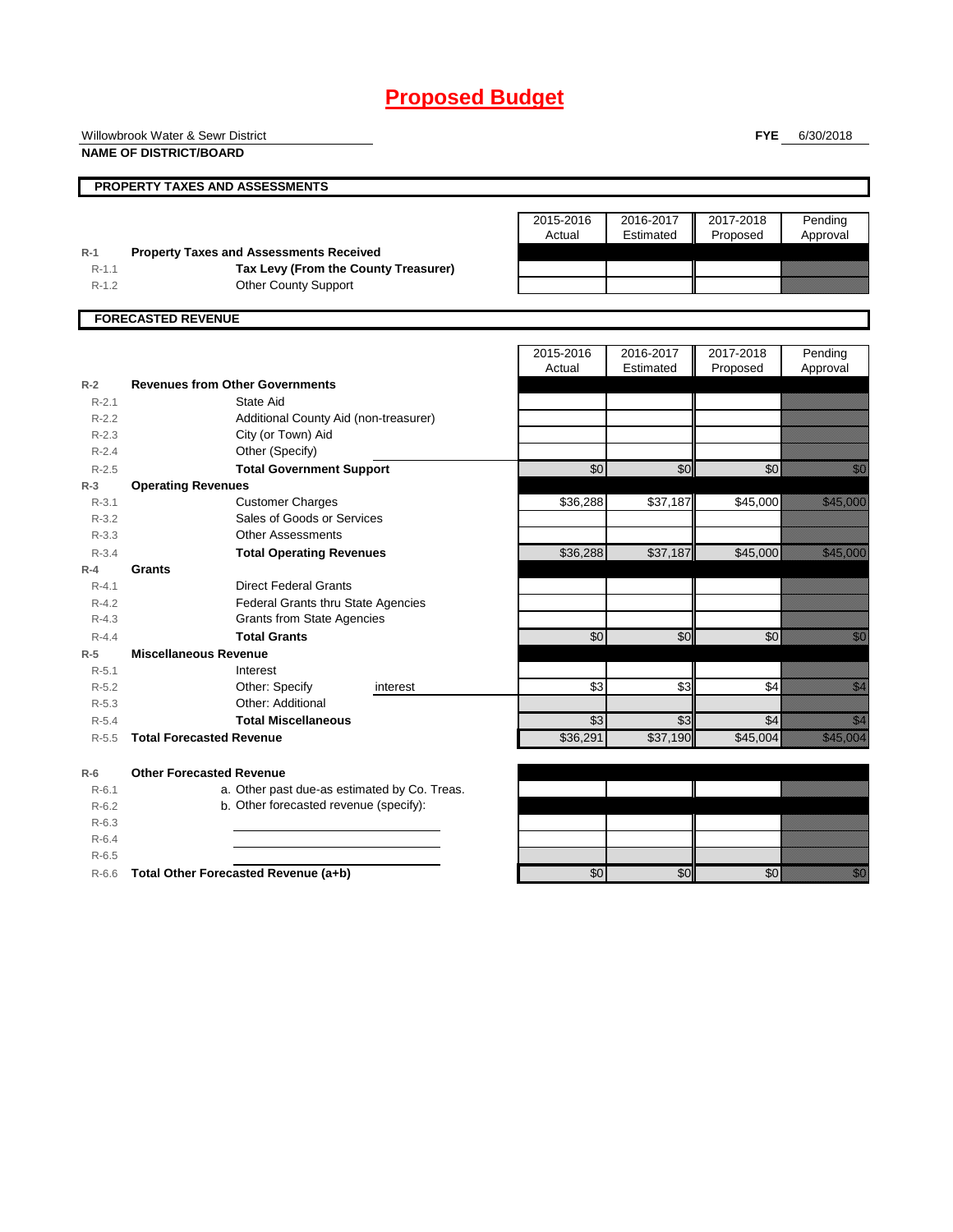# **Proposed Budget**

|           | Willowbrook Water & Sewr District              |                     |                        | <b>FYE</b>            | 6/30/2018                                                                                                                                                                                                                        |
|-----------|------------------------------------------------|---------------------|------------------------|-----------------------|----------------------------------------------------------------------------------------------------------------------------------------------------------------------------------------------------------------------------------|
|           | <b>NAME OF DISTRICT/BOARD</b>                  |                     |                        |                       |                                                                                                                                                                                                                                  |
|           | PROPERTY TAXES AND ASSESSMENTS                 |                     |                        |                       |                                                                                                                                                                                                                                  |
|           |                                                |                     |                        |                       |                                                                                                                                                                                                                                  |
|           |                                                | 2015-2016<br>Actual | 2016-2017<br>Estimated | 2017-2018<br>Proposed | Pending<br>Approval                                                                                                                                                                                                              |
| $R-1$     | <b>Property Taxes and Assessments Received</b> |                     |                        |                       |                                                                                                                                                                                                                                  |
| $R-1.1$   | Tax Levy (From the County Treasurer)           |                     |                        |                       |                                                                                                                                                                                                                                  |
| $R-1.2$   | <b>Other County Support</b>                    |                     |                        |                       |                                                                                                                                                                                                                                  |
|           | <b>FORECASTED REVENUE</b>                      |                     |                        |                       |                                                                                                                                                                                                                                  |
|           |                                                | 2015-2016           | 2016-2017              | 2017-2018             | Pending                                                                                                                                                                                                                          |
|           |                                                | Actual              | Estimated              | Proposed              | Approval                                                                                                                                                                                                                         |
| $R-2$     | <b>Revenues from Other Governments</b>         |                     |                        |                       |                                                                                                                                                                                                                                  |
| $R - 2.1$ | State Aid                                      |                     |                        |                       |                                                                                                                                                                                                                                  |
| $R-2.2$   | Additional County Aid (non-treasurer)          |                     |                        |                       |                                                                                                                                                                                                                                  |
| $R-2.3$   | City (or Town) Aid                             |                     |                        |                       |                                                                                                                                                                                                                                  |
| $R-2.4$   | Other (Specify)                                |                     |                        |                       |                                                                                                                                                                                                                                  |
| $R-2.5$   | <b>Total Government Support</b>                | \$0                 | \$0                    | \$0                   |                                                                                                                                                                                                                                  |
| $R-3$     | <b>Operating Revenues</b>                      |                     |                        |                       |                                                                                                                                                                                                                                  |
| $R - 3.1$ | <b>Customer Charges</b>                        | \$36,288            | \$37,187               | \$45,000              | <b>Harriotta School</b>                                                                                                                                                                                                          |
| $R - 3.2$ | Sales of Goods or Services                     |                     |                        |                       |                                                                                                                                                                                                                                  |
| $R - 3.3$ | <b>Other Assessments</b>                       |                     |                        |                       |                                                                                                                                                                                                                                  |
| $R - 3.4$ | <b>Total Operating Revenues</b>                | \$36,288            | \$37,187               | \$45,000              | <b>Hermann</b>                                                                                                                                                                                                                   |
| $R-4$     | Grants                                         |                     |                        |                       |                                                                                                                                                                                                                                  |
| $R - 4.1$ | <b>Direct Federal Grants</b>                   |                     |                        |                       |                                                                                                                                                                                                                                  |
| $R - 4.2$ | <b>Federal Grants thru State Agencies</b>      |                     |                        |                       |                                                                                                                                                                                                                                  |
| $R-4.3$   | <b>Grants from State Agencies</b>              |                     |                        |                       |                                                                                                                                                                                                                                  |
| $R - 4.4$ | <b>Total Grants</b>                            | \$0                 | \$0                    | \$0                   | an dhekara ta 1979.<br>Marejeo                                                                                                                                                                                                   |
| $R-5$     | <b>Miscellaneous Revenue</b>                   |                     |                        |                       |                                                                                                                                                                                                                                  |
| $R-5.1$   | Interest                                       |                     |                        |                       |                                                                                                                                                                                                                                  |
| $R-5.2$   | Other: Specify<br>interest                     | \$3                 | \$3                    | \$4                   | en de la familie de la familie de la familie de la familie de la familie de la familie de la familie de la fam<br>Constituit de la familie de la familie de la familie de la familie de la familie de la familie de la familie d |
| $R - 5.3$ | Other: Additional                              |                     |                        |                       |                                                                                                                                                                                                                                  |
| $R-5.4$   | <b>Total Miscellaneous</b>                     | \$3                 | \$3                    | \$4                   | en de la familie de la familie de la familie de la familie de la familie de la familie de la familie de la fam<br>Construction de la familie de la familie de la familie de la familie de la familie de la familie de la familie |
| $R - 5.5$ | <b>Total Forecasted Revenue</b>                | \$36,291            | \$37,190               | \$45,004              | <u> Mariji (</u>                                                                                                                                                                                                                 |
| $R-6$     | <b>Other Forecasted Revenue</b>                |                     |                        |                       |                                                                                                                                                                                                                                  |
| $R - 6.1$ | a. Other past due-as estimated by Co. Treas.   |                     |                        |                       |                                                                                                                                                                                                                                  |
| $R-6.2$   | b. Other forecasted revenue (specify):         |                     |                        |                       |                                                                                                                                                                                                                                  |
| $R-6.3$   |                                                |                     |                        |                       |                                                                                                                                                                                                                                  |
| $R-6.4$   |                                                |                     |                        |                       |                                                                                                                                                                                                                                  |
| $R-6.5$   |                                                |                     |                        |                       |                                                                                                                                                                                                                                  |
| $R-6.6$   | Total Other Forecasted Revenue (a+b)           | \$0                 | \$0                    | \$0                   | en de la familie de la familie de la familie de la familie de la familie de la familie de la familie de la fam<br>Constitution de la familie de la familie de la familie de la familie de la familie de la familie de la familie |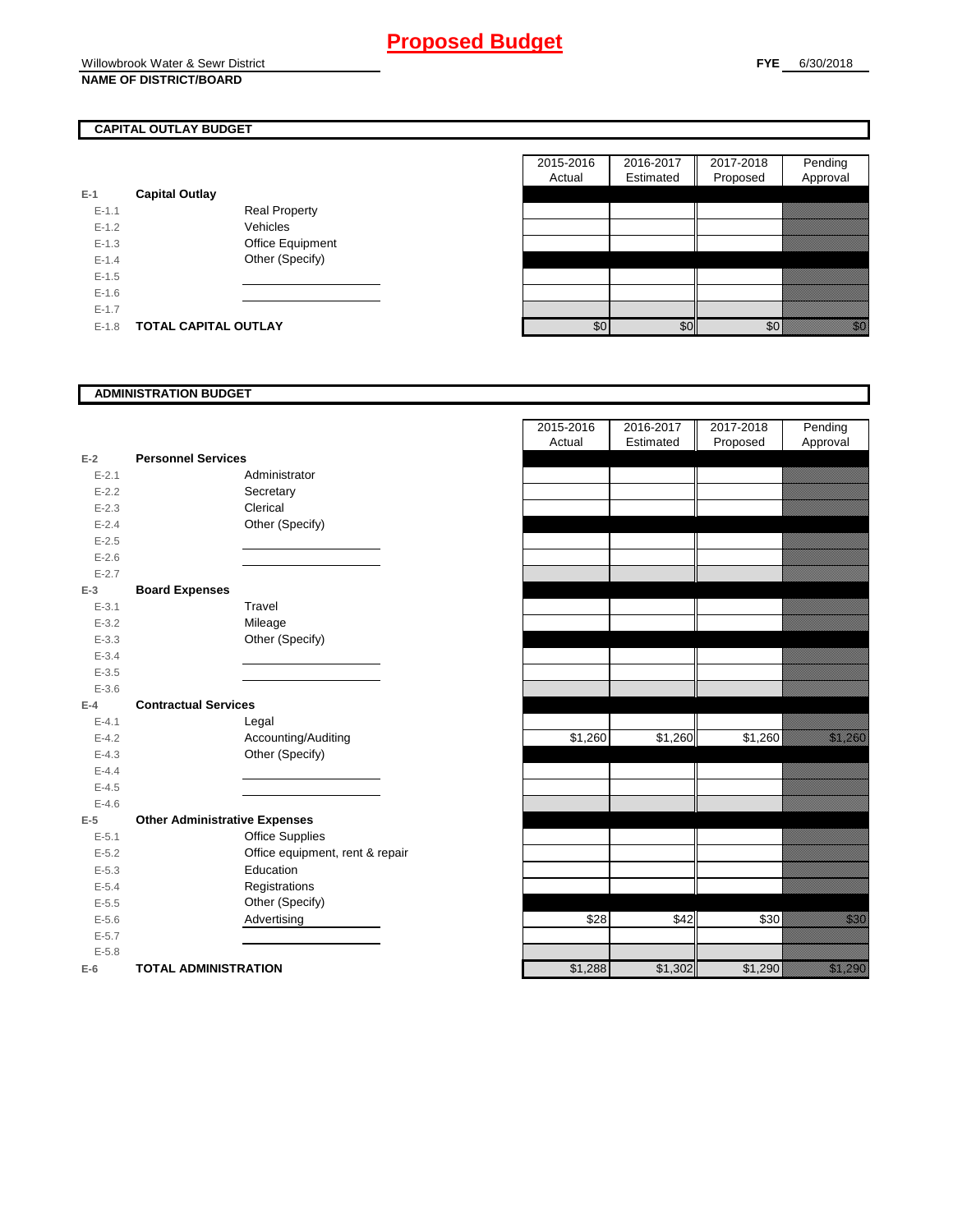## Willowbrook Water & Sewr District **NAME OF DISTRICT/BOARD**

## **CAPITAL OUTLAY BUDGET**

| E-1     | <b>Capital Outlay</b> |                         |
|---------|-----------------------|-------------------------|
| $F-11$  |                       | <b>Real Property</b>    |
| $F-12$  |                       | Vehicles                |
| $F-1.3$ |                       | <b>Office Equipment</b> |
| $F-14$  |                       | Other (Specify)         |
| $F-1.5$ |                       |                         |
| $F-16$  |                       |                         |
| $F-17$  |                       |                         |
| F-18    | TOTAL CAPITAL OUTLAY  |                         |

|           |                             |                      | 2015-2016 | 2016-2017 | 2017-2018 | Pending                                                                                                                                                                                                                         |
|-----------|-----------------------------|----------------------|-----------|-----------|-----------|---------------------------------------------------------------------------------------------------------------------------------------------------------------------------------------------------------------------------------|
|           |                             |                      | Actual    | Estimated | Proposed  | Approval                                                                                                                                                                                                                        |
|           | <b>Capital Outlay</b>       |                      |           |           |           |                                                                                                                                                                                                                                 |
| $E - 1.1$ |                             | <b>Real Property</b> |           |           |           |                                                                                                                                                                                                                                 |
| $E-1.2$   |                             | Vehicles             |           |           |           |                                                                                                                                                                                                                                 |
| $E-1.3$   |                             | Office Equipment     |           |           |           |                                                                                                                                                                                                                                 |
| $E - 1.4$ |                             | Other (Specify)      |           |           |           |                                                                                                                                                                                                                                 |
| $E-1.5$   |                             |                      |           |           |           |                                                                                                                                                                                                                                 |
| $E-1.6$   |                             |                      |           |           |           |                                                                                                                                                                                                                                 |
| $E - 1.7$ |                             |                      |           |           |           |                                                                                                                                                                                                                                 |
| $E-1.8$   | <b>TOTAL CAPITAL OUTLAY</b> |                      | \$0       | \$0       | \$0       | en en de la familie de la familie de la familie de la familie de la familie de la familie de la familie de la<br>Constitution de la familie de la familie de la familie de la familie de la familie de la familie de la familie |

## **ADMINISTRATION BUDGET**

| $E-2$     | <b>Personnel Services</b>            |                                 |
|-----------|--------------------------------------|---------------------------------|
| $E - 2.1$ |                                      | Administrator                   |
| $E - 2.2$ |                                      | Secretary                       |
| $E - 2.3$ |                                      | Clerical                        |
| $E - 2.4$ |                                      | Other (Specify)                 |
| $E - 2.5$ |                                      |                                 |
| $E - 2.6$ |                                      |                                 |
| $E - 2.7$ |                                      |                                 |
| E-3       | <b>Board Expenses</b>                |                                 |
| $E - 3.1$ |                                      | Travel                          |
| $E - 3.2$ |                                      | Mileage                         |
| $E - 3.3$ |                                      | Other (Specify)                 |
| $E - 3.4$ |                                      |                                 |
| $E - 3.5$ |                                      |                                 |
| $E - 3.6$ |                                      |                                 |
| F-4       | <b>Contractual Services</b>          |                                 |
| $E - 4.1$ |                                      | Legal                           |
| $E-4.2$   |                                      | Accounting/Auditing             |
| $E - 4.3$ |                                      | Other (Specify)                 |
| $E-4.4$   |                                      |                                 |
| $E - 4.5$ |                                      |                                 |
| $E - 4.6$ |                                      |                                 |
| $E-5$     | <b>Other Administrative Expenses</b> |                                 |
| $E - 5.1$ |                                      | <b>Office Supplies</b>          |
| $E - 5.2$ |                                      | Office equipment, rent & repair |
| $E - 5.3$ |                                      | Education                       |
| $E - 5.4$ |                                      | Registrations                   |
| $E - 5.5$ |                                      | Other (Specify)                 |
| $E - 5.6$ |                                      | Advertising                     |
| $E - 5.7$ |                                      |                                 |
| $E - 5.8$ |                                      |                                 |
| E-6       | <b>TOTAL ADMINISTRATION</b>          |                                 |

|                         |                                      | 2015-2016 | 2016-2017 | 2017-2018 | Pending               |
|-------------------------|--------------------------------------|-----------|-----------|-----------|-----------------------|
|                         |                                      | Actual    | Estimated | Proposed  | Approval              |
| $\overline{\mathbf{r}}$ | <b>Personnel Services</b>            |           |           |           |                       |
| $E - 2.1$               | Administrator                        |           |           |           |                       |
| $E - 2.2$               | Secretary                            |           |           |           |                       |
| $E - 2.3$               | Clerical                             |           |           |           |                       |
| $E - 2.4$               | Other (Specify)                      |           |           |           |                       |
| $E - 2.5$               |                                      |           |           |           |                       |
| $E - 2.6$               |                                      |           |           |           |                       |
| $E - 2.7$               |                                      |           |           |           |                       |
| š                       | <b>Board Expenses</b>                |           |           |           |                       |
| $E - 3.1$               | Travel                               |           |           |           |                       |
| $E - 3.2$               | Mileage                              |           |           |           |                       |
| $E - 3.3$               | Other (Specify)                      |           |           |           |                       |
| $E - 3.4$               |                                      |           |           |           |                       |
| $E - 3.5$               |                                      |           |           |           |                       |
| $E - 3.6$               |                                      |           |           |           |                       |
| ı.                      | <b>Contractual Services</b>          |           |           |           |                       |
| $E - 4.1$               | Legal                                |           |           |           |                       |
| $E - 4.2$               | Accounting/Auditing                  | \$1,260   | \$1,260   | \$1,260   | <u> Karl Barat da</u> |
| $E - 4.3$               | Other (Specify)                      |           |           |           |                       |
| $E - 4.4$               |                                      |           |           |           |                       |
| $E - 4.5$               |                                      |           |           |           |                       |
| $E - 4.6$               |                                      |           |           |           |                       |
| 5                       | <b>Other Administrative Expenses</b> |           |           |           |                       |
| $E - 5.1$               | Office Supplies                      |           |           |           |                       |
| $E - 5.2$               | Office equipment, rent & repair      |           |           |           |                       |
| $E - 5.3$               | Education                            |           |           |           |                       |
| $E - 5.4$               | Registrations                        |           |           |           |                       |
| $E - 5.5$               | Other (Specify)                      |           |           |           |                       |
| $E - 5.6$               | Advertising                          | \$28      | \$42      | \$30      | <u>i serialdi</u>     |
| $E - 5.7$               |                                      |           |           |           |                       |
| $E - 5.8$               |                                      |           |           |           |                       |
| ì                       | <b>TOTAL ADMINISTRATION</b>          | \$1,288   | \$1,302   | \$1,290   | <u> Karlin Sara</u>   |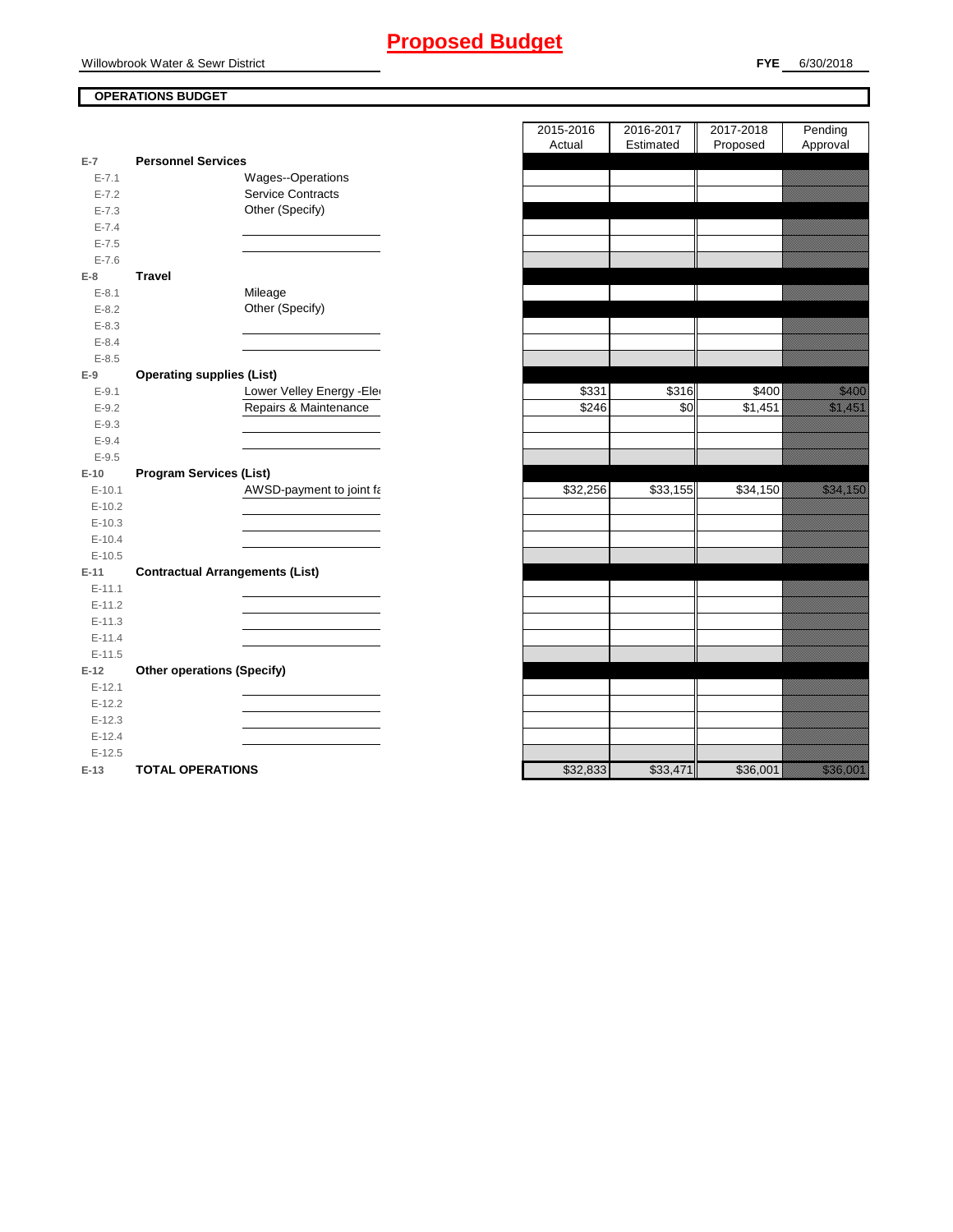## **Proposed Budget**

Willowbrook Water & Sewr District

## **FYE** 6/30/2018

## **OPERATIONS BUDGET**

|                      |                                        | Actual   | Estimated | Proposed | Approval                                                                                                                                                                                                                      |
|----------------------|----------------------------------------|----------|-----------|----------|-------------------------------------------------------------------------------------------------------------------------------------------------------------------------------------------------------------------------------|
| $E-7$                | <b>Personnel Services</b>              |          |           |          |                                                                                                                                                                                                                               |
| $E - 7.1$            | Wages--Operations                      |          |           |          |                                                                                                                                                                                                                               |
| $E - 7.2$            | Service Contracts                      |          |           |          |                                                                                                                                                                                                                               |
| $E - 7.3$            | Other (Specify)                        |          |           |          |                                                                                                                                                                                                                               |
| $E - 7.4$            |                                        |          |           |          |                                                                                                                                                                                                                               |
| $E - 7.5$            |                                        |          |           |          |                                                                                                                                                                                                                               |
| $E - 7.6$            |                                        |          |           |          |                                                                                                                                                                                                                               |
| $E-8$                | <b>Travel</b>                          |          |           |          |                                                                                                                                                                                                                               |
| $E - 8.1$            | Mileage                                |          |           |          |                                                                                                                                                                                                                               |
| $E - 8.2$            | Other (Specify)                        |          |           |          |                                                                                                                                                                                                                               |
| $E - 8.3$            |                                        |          |           |          |                                                                                                                                                                                                                               |
| $E - 8.4$            |                                        |          |           |          |                                                                                                                                                                                                                               |
| $E - 8.5$            |                                        |          |           |          |                                                                                                                                                                                                                               |
| $E-9$                | <b>Operating supplies (List)</b>       |          |           |          |                                                                                                                                                                                                                               |
| $E - 9.1$            | Lower Velley Energy - Ele              | \$331    | \$316     | \$400    | <u>tionalisest</u>                                                                                                                                                                                                            |
| $E-9.2$              | Repairs & Maintenance                  | \$246    | \$0       | \$1,451  | <u>i karatifan yang berlapas dalam bagi dalam bagi dalam bagi dalam bagi dalam bagi dalam bagi dalam bagi dalam </u>                                                                                                          |
| $E-9.3$              |                                        |          |           |          |                                                                                                                                                                                                                               |
| $E - 9.4$            |                                        |          |           |          |                                                                                                                                                                                                                               |
| $E-9.5$              |                                        |          |           |          |                                                                                                                                                                                                                               |
| $E-10$               | <b>Program Services (List)</b>         |          |           |          |                                                                                                                                                                                                                               |
| $E-10.1$             | AWSD-payment to joint fa               | \$32,256 | \$33,155  | \$34,150 | e all'internazionale della construccia della construccia della construccia della construccia della construccia<br>Construccia della construccia della construccia della construccia della construccia della construccia della |
| $E-10.2$             |                                        |          |           |          |                                                                                                                                                                                                                               |
| $E-10.3$             |                                        |          |           |          |                                                                                                                                                                                                                               |
| $E-10.4$             |                                        |          |           |          |                                                                                                                                                                                                                               |
| $E-10.5$             |                                        |          |           |          |                                                                                                                                                                                                                               |
| $E-11$               | <b>Contractual Arrangements (List)</b> |          |           |          |                                                                                                                                                                                                                               |
| $E-11.1$             |                                        |          |           |          |                                                                                                                                                                                                                               |
| $E-11.2$             |                                        |          |           |          |                                                                                                                                                                                                                               |
| $E-11.3$             |                                        |          |           |          |                                                                                                                                                                                                                               |
| $E-11.4$             |                                        |          |           |          |                                                                                                                                                                                                                               |
| $E-11.5$             |                                        |          |           |          |                                                                                                                                                                                                                               |
| $E-12$               | <b>Other operations (Specify)</b>      |          |           |          |                                                                                                                                                                                                                               |
| $E-12.1$             |                                        |          |           |          |                                                                                                                                                                                                                               |
| $E-12.2$             |                                        |          |           |          |                                                                                                                                                                                                                               |
| $E-12.3$<br>$E-12.4$ |                                        |          |           |          |                                                                                                                                                                                                                               |
| $E-12.5$             |                                        |          |           |          |                                                                                                                                                                                                                               |
| $E-13$               | <b>TOTAL OPERATIONS</b>                | \$32,833 | \$33,471  | \$36,001 | a a an an t-                                                                                                                                                                                                                  |
|                      |                                        |          |           |          |                                                                                                                                                                                                                               |

|                |                                        | 2015-2016 | 2016-2017 | 2017-2018 | Pending                                                                                                                                                                                                                          |
|----------------|----------------------------------------|-----------|-----------|-----------|----------------------------------------------------------------------------------------------------------------------------------------------------------------------------------------------------------------------------------|
|                |                                        | Actual    | Estimated | Proposed  | Approval                                                                                                                                                                                                                         |
| $\overline{7}$ | <b>Personnel Services</b>              |           |           |           |                                                                                                                                                                                                                                  |
| $E - 7.1$      | Wages--Operations                      |           |           |           |                                                                                                                                                                                                                                  |
| $E - 7.2$      | Service Contracts                      |           |           |           |                                                                                                                                                                                                                                  |
| $E - 7.3$      | Other (Specify)                        |           |           |           |                                                                                                                                                                                                                                  |
| $E - 7.4$      |                                        |           |           |           |                                                                                                                                                                                                                                  |
| $E - 7.5$      |                                        |           |           |           |                                                                                                                                                                                                                                  |
| $E - 7.6$      |                                        |           |           |           |                                                                                                                                                                                                                                  |
| 8              | <b>Travel</b>                          |           |           |           |                                                                                                                                                                                                                                  |
| $E - 8.1$      | Mileage                                |           |           |           |                                                                                                                                                                                                                                  |
| $E - 8.2$      | Other (Specify)                        |           |           |           |                                                                                                                                                                                                                                  |
| $E - 8.3$      |                                        |           |           |           |                                                                                                                                                                                                                                  |
| $E - 8.4$      |                                        |           |           |           |                                                                                                                                                                                                                                  |
| $E - 8.5$      |                                        |           |           |           |                                                                                                                                                                                                                                  |
| 9              | <b>Operating supplies (List)</b>       |           |           |           |                                                                                                                                                                                                                                  |
| $E - 9.1$      | Lower Velley Energy - Ele              | \$331     | \$316     | \$400     | <u>tik ka</u>                                                                                                                                                                                                                    |
| $E-9.2$        | Repairs & Maintenance                  | \$246     | \$0       | \$1,451   | a katika katika katika katika katika katika katika katika katika katika katika katika katika katika katika kat<br>Katika katika katika katika katika katika katika katika katika katika katika katika katika katika katika katik |
| $E-9.3$        |                                        |           |           |           |                                                                                                                                                                                                                                  |
| $E - 9.4$      |                                        |           |           |           |                                                                                                                                                                                                                                  |
| $E - 9.5$      |                                        |           |           |           |                                                                                                                                                                                                                                  |
| 10             | <b>Program Services (List)</b>         |           |           |           |                                                                                                                                                                                                                                  |
| $E-10.1$       | AWSD-payment to joint fa               | \$32,256  | \$33,155  | \$34,150  | <u> Karlin Maria Sant</u>                                                                                                                                                                                                        |
| $E-10.2$       |                                        |           |           |           |                                                                                                                                                                                                                                  |
| $E-10.3$       |                                        |           |           |           |                                                                                                                                                                                                                                  |
| $E-10.4$       |                                        |           |           |           |                                                                                                                                                                                                                                  |
| $E-10.5$       |                                        |           |           |           |                                                                                                                                                                                                                                  |
| $-11$          | <b>Contractual Arrangements (List)</b> |           |           |           |                                                                                                                                                                                                                                  |
| $E - 11.1$     |                                        |           |           |           |                                                                                                                                                                                                                                  |
| $E-11.2$       |                                        |           |           |           |                                                                                                                                                                                                                                  |
| $E-11.3$       |                                        |           |           |           |                                                                                                                                                                                                                                  |
| $E-11.4$       |                                        |           |           |           |                                                                                                                                                                                                                                  |
| $E-11.5$       |                                        |           |           |           |                                                                                                                                                                                                                                  |
| 12             | <b>Other operations (Specify)</b>      |           |           |           |                                                                                                                                                                                                                                  |
| $E-12.1$       |                                        |           |           |           |                                                                                                                                                                                                                                  |
| $E-12.2$       |                                        |           |           |           |                                                                                                                                                                                                                                  |
| $E-12.3$       |                                        |           |           |           |                                                                                                                                                                                                                                  |
| $E-12.4$       |                                        |           |           |           |                                                                                                                                                                                                                                  |
| $E-12.5$       |                                        |           |           |           |                                                                                                                                                                                                                                  |
| $12 -$         | TOTAL OPERATIONS                       | 63383     | \$33.171  | \$36,001  | <u>, Galeria (h. 197</u>                                                                                                                                                                                                         |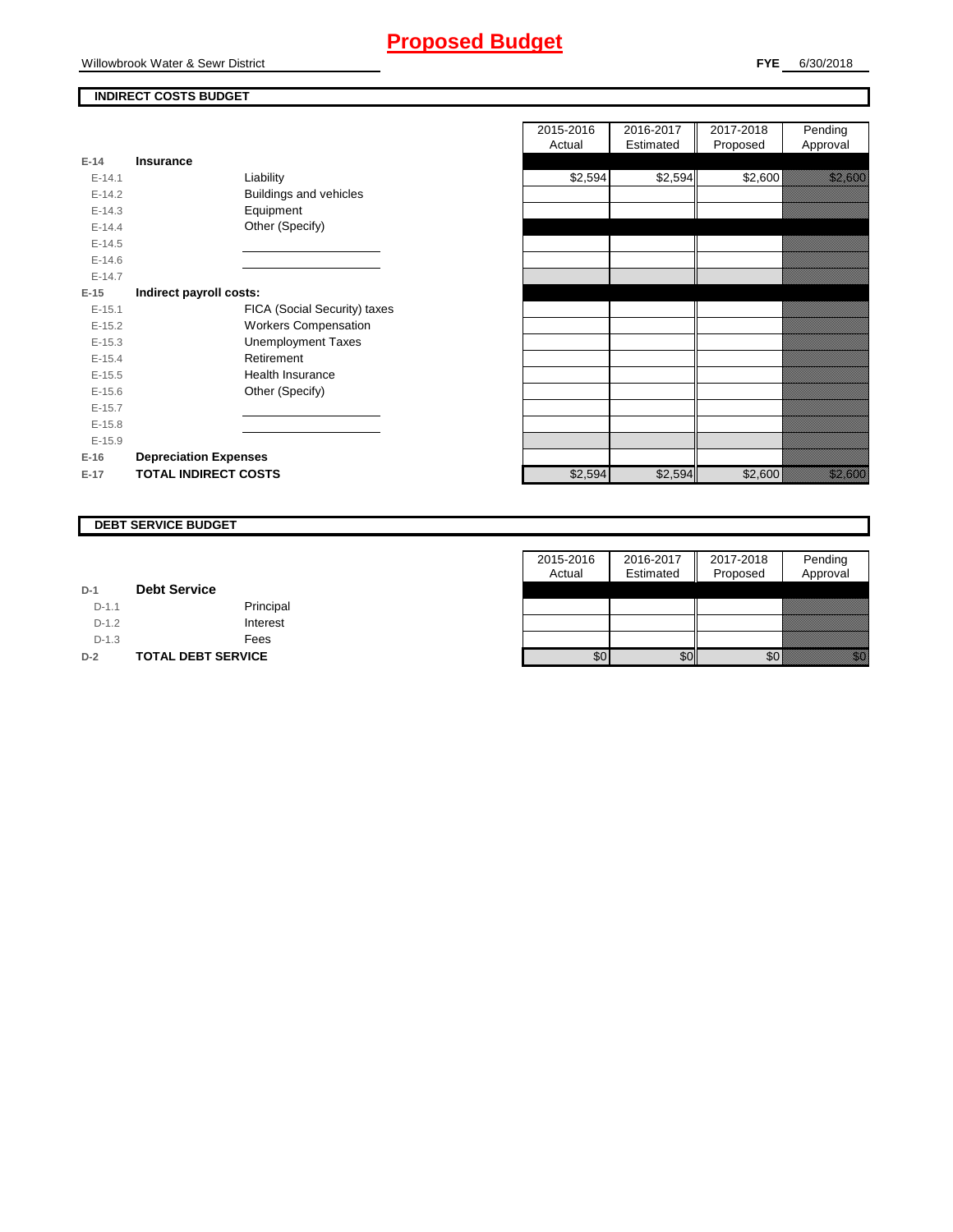## **Proposed Budget**

## **INDIRECT COSTS BUDGET**

| $E-14$     | <b>Insurance</b>              |
|------------|-------------------------------|
| $F-141$    | Liability                     |
| $F-142$    | <b>Buildings and vehicles</b> |
| $E-14.3$   | Equipment                     |
| $F-144$    | Other (Specify)               |
| $E-14.5$   |                               |
| $E - 14.6$ |                               |
| $F-147$    |                               |
| E-15       | Indirect payroll costs:       |
| $F-151$    | FICA (Social Security) taxes  |
| $F-152$    | <b>Workers Compensation</b>   |
| $E-15.3$   | <b>Unemployment Taxes</b>     |
| $F-154$    | Retirement                    |
| $E-15.5$   | Health Insurance              |
| $E - 15.6$ | Other (Specify)               |
| $F-157$    |                               |
| $E-15.8$   |                               |
| $E-15.9$   |                               |
| $E-16$     | <b>Depreciation Expenses</b>  |
| $E-17$     | <b>TOTAL INDIRECT COSTS</b>   |

|          |                              | 2015-2016 | 2016-2017 | 2017-2018 | Pending              |
|----------|------------------------------|-----------|-----------|-----------|----------------------|
|          |                              | Actual    | Estimated | Proposed  | Approval             |
| $E-14$   | <b>Insurance</b>             |           |           |           |                      |
| $E-14.1$ | Liability                    | \$2,594   | \$2,594   | \$2,600   | <u>tionalist val</u> |
| $E-14.2$ | Buildings and vehicles       |           |           |           |                      |
| $E-14.3$ | Equipment                    |           |           |           |                      |
| $E-14.4$ | Other (Specify)              |           |           |           |                      |
| $E-14.5$ |                              |           |           |           |                      |
| $E-14.6$ |                              |           |           |           |                      |
| $E-14.7$ |                              |           |           |           |                      |
| $E-15$   | Indirect payroll costs:      |           |           |           |                      |
| $E-15.1$ | FICA (Social Security) taxes |           |           |           |                      |
| $E-15.2$ | <b>Workers Compensation</b>  |           |           |           |                      |
| $E-15.3$ | <b>Unemployment Taxes</b>    |           |           |           |                      |
| $E-15.4$ | Retirement                   |           |           |           |                      |
| $E-15.5$ | Health Insurance             |           |           |           |                      |
| $E-15.6$ | Other (Specify)              |           |           |           |                      |
| $E-15.7$ |                              |           |           |           |                      |
| $E-15.8$ |                              |           |           |           |                      |
| $E-15.9$ |                              |           |           |           |                      |
| E-16     | <b>Depreciation Expenses</b> |           |           |           |                      |
| E-17     | <b>TOTAL INDIRECT COSTS</b>  | \$2,594   | \$2,594   | \$2,600   | <u>i ka</u>          |
|          |                              |           |           |           |                      |

## **DEBT SERVICE BUDGET**

|         |                           | 2015-2016 | 2016-2017 | 2017-2018 | Pending      |
|---------|---------------------------|-----------|-----------|-----------|--------------|
|         |                           | Actual    | Estimated | Proposed  | Approval     |
| $D-1$   | <b>Debt Service</b>       |           |           |           |              |
| $D-1.1$ | Principal                 |           |           |           |              |
| $D-1.2$ | Interest                  |           |           |           |              |
| $D-1.3$ | Fees                      |           |           |           |              |
| $D-2$   | <b>TOTAL DEBT SERVICE</b> | \$0       | \$0       | \$0       | elle de la f |